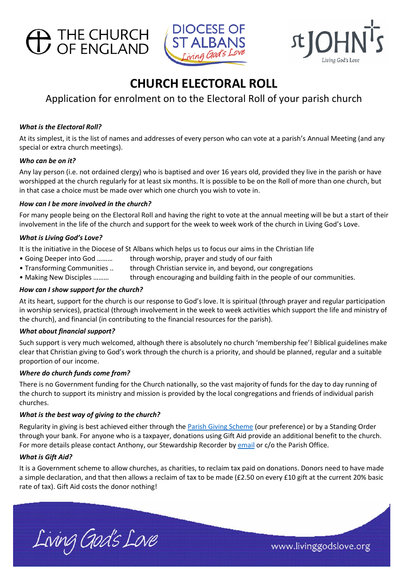# <sup>THE CHURCH</sup><br>
OF ENGLAND





## **CHURCH ELECTORAL ROLL**

### Application for enrolment on to the Electoral Roll of your parish church

#### *What is the Electoral Roll?*

At its simplest, it is the list of names and addresses of every person who can vote at a parish's Annual Meeting (and any special or extra church meetings).

#### *Who can be on it?*

Any lay person (i.e. not ordained clergy) who is baptised and over 16 years old, provided they live in the parish or have worshipped at the church regularly for at least six months. It is possible to be on the Roll of more than one church, but in that case a choice must be made over which one church you wish to vote in.

#### *How can I be more involved in the church?*

For many people being on the Electoral Roll and having the right to vote at the annual meeting will be but a start of their involvement in the life of the church and support for the week to week work of the church in Living God's Love.

#### *What is Living God's Love?*

It is the initiative in the Diocese of St Albans which helps us to focus our aims in the Christian life

- Going Deeper into God ……… through worship, prayer and study of our faith
- Transforming Communities .. through Christian service in, and beyond, our congregations
- Making New Disciples ……… through encouraging and building faith in the people of our communities.

#### *How can I show support for the church?*

At its heart, support for the church is our response to God's love. It is spiritual (through prayer and regular participation in worship services), practical (through involvement in the week to week activities which support the life and ministry of the church), and financial (in contributing to the financial resources for the parish).

#### *What about financial support?*

Such support is very much welcomed, although there is absolutely no church 'membership fee'! Biblical guidelines make clear that Christian giving to God's work through the church is a priority, and should be planned, regular and a suitable proportion of our income.

#### *Where do church funds come from?*

There is no Government funding for the Church nationally, so the vast majority of funds for the day to day running of the church to support its ministry and mission is provided by the local congregations and friends of individual parish churches.

#### *What is the best way of giving to the church?*

Regularity in giving is best achieved either through the **Parish Giving Scheme** (our preference) or by a Standing Order through your bank. For anyone who is a taxpayer, donations using Gift Aid provide an additional benefit to the church. For more details please contact Anthony, our Stewardship Recorder by [email](mailto:stewardshiprecorder@stjohnsharpenden.org.uk?subject=Parish%20Giving%20Scheme) or c/o the Parish Office.

#### *What is Gift Aid?*

It is a Government scheme to allow churches, as charities, to reclaim tax paid on donations. Donors need to have made a simple declaration, and that then allows a reclaim of tax to be made (£2.50 on every £10 gift at the current 20% basic rate of tax). Gift Aid costs the donor nothing!

Living God's Love

www.livinggodslove.org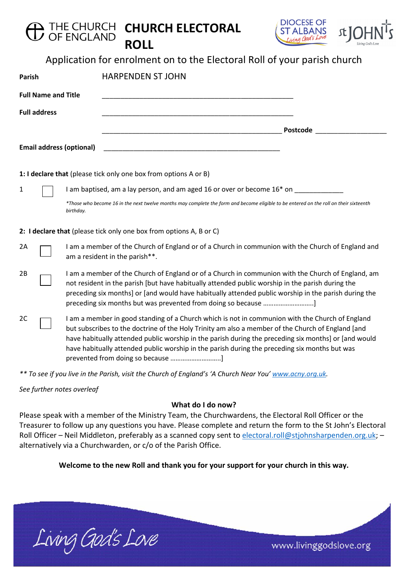|                                                                                                                                                                 |                            | THE CHURCH<br>OF ENGLAND                                                                                                                                                                                                                                                                                                                                                        | <b>CHURCH ELECTORAL</b><br><b>ROLL</b>                                                                                                                                                                                                                                                                                                                                                                                                             | DIULEJE UF<br><b>ST ALBANS</b><br>iving God's L |  |
|-----------------------------------------------------------------------------------------------------------------------------------------------------------------|----------------------------|---------------------------------------------------------------------------------------------------------------------------------------------------------------------------------------------------------------------------------------------------------------------------------------------------------------------------------------------------------------------------------|----------------------------------------------------------------------------------------------------------------------------------------------------------------------------------------------------------------------------------------------------------------------------------------------------------------------------------------------------------------------------------------------------------------------------------------------------|-------------------------------------------------|--|
|                                                                                                                                                                 |                            |                                                                                                                                                                                                                                                                                                                                                                                 | Application for enrolment on to the Electoral Roll of your parish church                                                                                                                                                                                                                                                                                                                                                                           |                                                 |  |
| Parish                                                                                                                                                          |                            |                                                                                                                                                                                                                                                                                                                                                                                 | <b>HARPENDEN ST JOHN</b>                                                                                                                                                                                                                                                                                                                                                                                                                           |                                                 |  |
|                                                                                                                                                                 | <b>Full Name and Title</b> |                                                                                                                                                                                                                                                                                                                                                                                 |                                                                                                                                                                                                                                                                                                                                                                                                                                                    |                                                 |  |
|                                                                                                                                                                 | <b>Full address</b>        |                                                                                                                                                                                                                                                                                                                                                                                 |                                                                                                                                                                                                                                                                                                                                                                                                                                                    |                                                 |  |
|                                                                                                                                                                 |                            |                                                                                                                                                                                                                                                                                                                                                                                 |                                                                                                                                                                                                                                                                                                                                                                                                                                                    | Postcode                                        |  |
|                                                                                                                                                                 |                            | <b>Email address (optional)</b>                                                                                                                                                                                                                                                                                                                                                 | <u> 1980 - Johann John Stone, markin film yn y brening yn y brening yn y brening yn y brening yn y brening yn y b</u>                                                                                                                                                                                                                                                                                                                              |                                                 |  |
|                                                                                                                                                                 |                            |                                                                                                                                                                                                                                                                                                                                                                                 |                                                                                                                                                                                                                                                                                                                                                                                                                                                    |                                                 |  |
| 1: I declare that (please tick only one box from options A or B)<br>I am baptised, am a lay person, and am aged 16 or over or become 16* on ______________<br>1 |                            |                                                                                                                                                                                                                                                                                                                                                                                 |                                                                                                                                                                                                                                                                                                                                                                                                                                                    |                                                 |  |
|                                                                                                                                                                 |                            | birthday.                                                                                                                                                                                                                                                                                                                                                                       | *Those who become 16 in the next twelve months may complete the form and become eligible to be entered on the roll on their sixteenth                                                                                                                                                                                                                                                                                                              |                                                 |  |
|                                                                                                                                                                 |                            |                                                                                                                                                                                                                                                                                                                                                                                 | 2: I declare that (please tick only one box from options A, B or C)                                                                                                                                                                                                                                                                                                                                                                                |                                                 |  |
| 2A                                                                                                                                                              |                            | I am a member of the Church of England or of a Church in communion with the Church of England and<br>am a resident in the parish**.                                                                                                                                                                                                                                             |                                                                                                                                                                                                                                                                                                                                                                                                                                                    |                                                 |  |
| 2B                                                                                                                                                              |                            | I am a member of the Church of England or of a Church in communion with the Church of England, am<br>not resident in the parish [but have habitually attended public worship in the parish during the<br>preceding six months] or [and would have habitually attended public worship in the parish during the<br>preceding six months but was prevented from doing so because ] |                                                                                                                                                                                                                                                                                                                                                                                                                                                    |                                                 |  |
| 2C                                                                                                                                                              |                            |                                                                                                                                                                                                                                                                                                                                                                                 | I am a member in good standing of a Church which is not in communion with the Church of England<br>but subscribes to the doctrine of the Holy Trinity am also a member of the Church of England [and<br>have habitually attended public worship in the parish during the preceding six months] or [and would<br>have habitually attended public worship in the parish during the preceding six months but was<br>prevented from doing so because ] |                                                 |  |
|                                                                                                                                                                 |                            |                                                                                                                                                                                                                                                                                                                                                                                 | ** To see if you live in the Parish, visit the Church of England's 'A Church Near You' www.acny.org.uk.                                                                                                                                                                                                                                                                                                                                            |                                                 |  |
|                                                                                                                                                                 |                            |                                                                                                                                                                                                                                                                                                                                                                                 |                                                                                                                                                                                                                                                                                                                                                                                                                                                    |                                                 |  |

*See further notes overleaf*

#### **What do I do now?**

Please speak with a member of the Ministry Team, the Churchwardens, the Electoral Roll Officer or the Treasurer to follow up any questions you have. Please complete and return the form to the St John's Electoral Roll Officer - Neil Middleton, preferably as a scanned copy sent to [electoral.roll@stjohnsharpenden.org.uk;](mailto:electoral.roll@stjohnsharpenden.org.uk) alternatively via a Churchwarden, or c/o of the Parish Office.

**Welcome to the new Roll and thank you for your support for your church in this way.**



www.livinggodslove.org

**INDICESE OF** 

 $\mathsf{l}_-$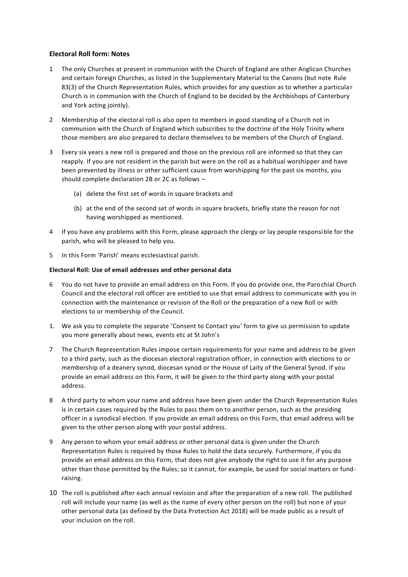#### **Electoral Roll form: Notes**

- 1 The only Churches at present in communion with the Church of England are other Anglican Churches and certain foreign Churches, as listed in the Supplementary Material to the Canons (but note [Rule](https://www.churchofengland.org/more/policy-and-thinking/church-representation-rules/part_8_miscellaneous_rules_72_to_84.xhtml#r83_3)  [83\(3\)](https://www.churchofengland.org/more/policy-and-thinking/church-representation-rules/part_8_miscellaneous_rules_72_to_84.xhtml#r83_3) of the Church Representation Rules, which provides for any question as to whether a particular Church is in communion with the Church of England to be decided by the Archbishops of Canterbury and York acting jointly).
- 2 Membership of the electoral roll is also open to members in good standing of a Church not in communion with the Church of England which subscribes to the doctrine of the Holy Trinity where those members are also prepared to declare themselves to be members of the Church of England.
- 3 Every six years a new roll is prepared and those on the previous roll are informed so that they can reapply. If you are not resident in the parish but were on the roll as a habitual worshipper and have been prevented by illness or other sufficient cause from worshipping for the past six months, you should complete declaration 2B or 2C as follows –
	- (a) delete the first set of words in square brackets and
	- (b) at the end of the second set of words in square brackets, briefly state the reason for not having worshipped as mentioned.
- 4 If you have any problems with this Form, please approach the clergy or lay people responsible for the parish, who will be pleased to help you.
- 5 In this Form 'Parish' means ecclesiastical parish.

#### **Electoral Roll: Use of email addresses and other personal data**

- 6 You do not have to provide an email address on this Form. If you do provide one, the Parochial Church Council and the electoral roll officer are entitled to use that email address to communicate with you in connection with the maintenance or revision of the Roll or the preparation of a new Roll or with elections to or membership of the Council.
- 1. We ask you to complete the separate 'Consent to Contact you' form to give us permission to update you more generally about news, events etc at St John's
- 7 The Church Representation Rules impose certain requirements for your name and address to be given to a third party, such as the diocesan electoral registration officer, in connection with elections to or membership of a deanery synod, diocesan synod or the House of Laity of the General Synod. If you provide an email address on this Form, it will be given to the third party along with your postal address.
- 8 A third party to whom your name and address have been given under the Church Representation Rules is in certain cases required by the Rules to pass them on to another person, such as the presiding officer in a synodical election. If you provide an email address on this Form, that email address will be given to the other person along with your postal address.
- 9 Any person to whom your email address or other personal data is given under the Church Representation Rules is required by those Rules to hold the data securely. Furthermore, if you do provide an email address on this Form, that does not give anybody the right to use it for any purpose other than those permitted by the Rules; so it cannot, for example, be used for social matters or fundraising.
- 10 The roll is published after each annual revision and after the preparation of a new roll. The published roll will include your name (as well as the name of every other person on the roll) but none of your other personal data (as defined by the Data Protection Act 2018) will be made public as a result of your inclusion on the roll.